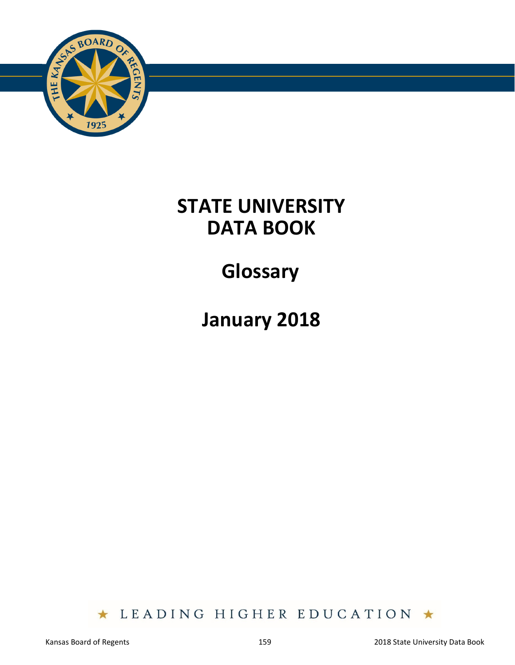

### **STATE UNIVERSITY DATA BOOK**

# **Glossary**

## **January 2018**

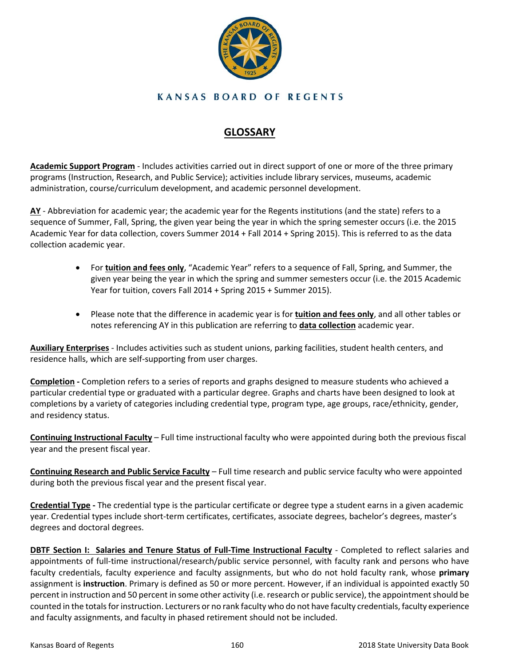

#### **KANSAS BOARD OF REGENTS**

#### **GLOSSARY**

**Academic Support Program** ‐ Includes activities carried out in direct support of one or more of the three primary programs (Instruction, Research, and Public Service); activities include library services, museums, academic administration, course/curriculum development, and academic personnel development.

**AY** ‐ Abbreviation for academic year; the academic year for the Regents institutions (and the state) refers to a sequence of Summer, Fall, Spring, the given year being the year in which the spring semester occurs (i.e. the 2015 Academic Year for data collection, covers Summer 2014 + Fall 2014 + Spring 2015). This is referred to as the data collection academic year.

- For **tuition and fees only**, "Academic Year" refers to a sequence of Fall, Spring, and Summer, the given year being the year in which the spring and summer semesters occur (i.e. the 2015 Academic Year for tuition, covers Fall 2014 + Spring 2015 + Summer 2015).
- Please note that the difference in academic year is for **tuition and fees only**, and all other tables or notes referencing AY in this publication are referring to **data collection** academic year.

**Auxiliary Enterprises** ‐ Includes activities such as student unions, parking facilities, student health centers, and residence halls, which are self‐supporting from user charges.

**Completion ‐** Completion refers to a series of reports and graphs designed to measure students who achieved a particular credential type or graduated with a particular degree. Graphs and charts have been designed to look at completions by a variety of categories including credential type, program type, age groups, race/ethnicity, gender, and residency status.

**Continuing Instructional Faculty** – Full time instructional faculty who were appointed during both the previous fiscal year and the present fiscal year.

**Continuing Research and Public Service Faculty** *–* Full time research and public service faculty who were appointed during both the previous fiscal year and the present fiscal year.

**Credential Type ‐** The credential type is the particular certificate or degree type a student earns in a given academic year. Credential types include short‐term certificates, certificates, associate degrees, bachelor's degrees, master's degrees and doctoral degrees.

**DBTF Section I: Salaries and Tenure Status of Full-Time Instructional Faculty - Completed to reflect salaries and** appointments of full-time instructional/research/public service personnel, with faculty rank and persons who have faculty credentials, faculty experience and faculty assignments, but who do not hold faculty rank, whose **primary** assignment is **instruction**. Primary is defined as 50 or more percent. However, if an individual is appointed exactly 50 percent in instruction and 50 percent in some other activity (i.e. research or public service), the appointment should be counted in the totals for instruction. Lecturers or no rank faculty who do not have faculty credentials, faculty experience and faculty assignments, and faculty in phased retirement should not be included.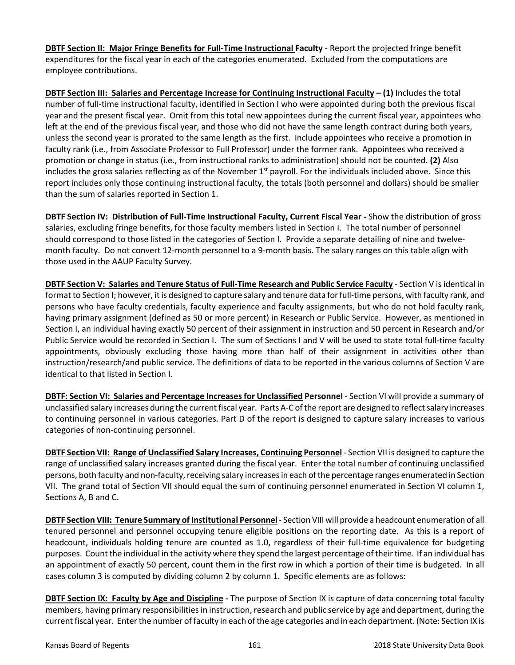**DBTF Section II: Major Fringe Benefits for Full‐Time Instructional Faculty** ‐ Report the projected fringe benefit expenditures for the fiscal year in each of the categories enumerated. Excluded from the computations are employee contributions.

**DBTF Section III: Salaries and Percentage Increase for Continuing Instructional Faculty – (1)** Includes the total number of full-time instructional faculty, identified in Section I who were appointed during both the previous fiscal year and the present fiscal year. Omit from this total new appointees during the current fiscal year, appointees who left at the end of the previous fiscal year, and those who did not have the same length contract during both years, unless the second year is prorated to the same length as the first. Include appointees who receive a promotion in faculty rank (i.e., from Associate Professor to Full Professor) under the former rank. Appointees who received a promotion or change in status (i.e., from instructional ranks to administration) should not be counted. **(2)** Also includes the gross salaries reflecting as of the November  $1<sup>st</sup>$  payroll. For the individuals included above. Since this report includes only those continuing instructional faculty, the totals (both personnel and dollars) should be smaller than the sum of salaries reported in Section 1.

**DBTF Section IV: Distribution of Full-Time Instructional Faculty, Current Fiscal Year - Show the distribution of gross** salaries, excluding fringe benefits, for those faculty members listed in Section I. The total number of personnel should correspond to those listed in the categories of Section I. Provide a separate detailing of nine and twelvemonth faculty. Do not convert 12‐month personnel to a 9‐month basis. The salary ranges on this table align with those used in the AAUP Faculty Survey.

**DBTF Section V: Salaries and Tenure Status of Full‐Time Research and Public Service Faculty** ‐ Section V is identical in format to Section I; however, it is designed to capture salary and tenure data for full-time persons, with faculty rank, and persons who have faculty credentials, faculty experience and faculty assignments, but who do not hold faculty rank, having primary assignment (defined as 50 or more percent) in Research or Public Service. However, as mentioned in Section I, an individual having exactly 50 percent of their assignment in instruction and 50 percent in Research and/or Public Service would be recorded in Section I. The sum of Sections I and V will be used to state total full-time faculty appointments, obviously excluding those having more than half of their assignment in activities other than instruction/research/and public service. The definitions of data to be reported in the various columns of Section V are identical to that listed in Section I.

**DBTF: Section VI: Salaries and Percentage Increases for Unclassified Personnel** ‐ Section VI will provide a summary of unclassified salary increases during the current fiscal year. Parts A‐C of the report are designed to reflect salary increases to continuing personnel in various categories. Part D of the report is designed to capture salary increases to various categories of non‐continuing personnel.

**DBTF Section VII: Range of Unclassified Salary Increases, Continuing Personnel** - Section VII is designed to capture the range of unclassified salary increases granted during the fiscal year. Enter the total number of continuing unclassified persons, both faculty and non‐faculty, receiving salary increases in each of the percentage ranges enumerated in Section VII. The grand total of Section VII should equal the sum of continuing personnel enumerated in Section VI column 1, Sections A, B and C.

**DBTF Section VIII: Tenure Summary of Institutional Personnel** ‐ Section VIII will provide a headcount enumeration of all tenured personnel and personnel occupying tenure eligible positions on the reporting date. As this is a report of headcount, individuals holding tenure are counted as 1.0, regardless of their full-time equivalence for budgeting purposes. Count the individual in the activity where they spend the largest percentage of their time. If an individual has an appointment of exactly 50 percent, count them in the first row in which a portion of their time is budgeted. In all cases column 3 is computed by dividing column 2 by column 1. Specific elements are as follows:

**DBTF Section IX: Faculty by Age and Discipline -** The purpose of Section IX is capture of data concerning total faculty members, having primary responsibilities in instruction, research and public service by age and department, during the current fiscal year. Enter the number of faculty in each of the age categories and in each department. (Note: Section IX is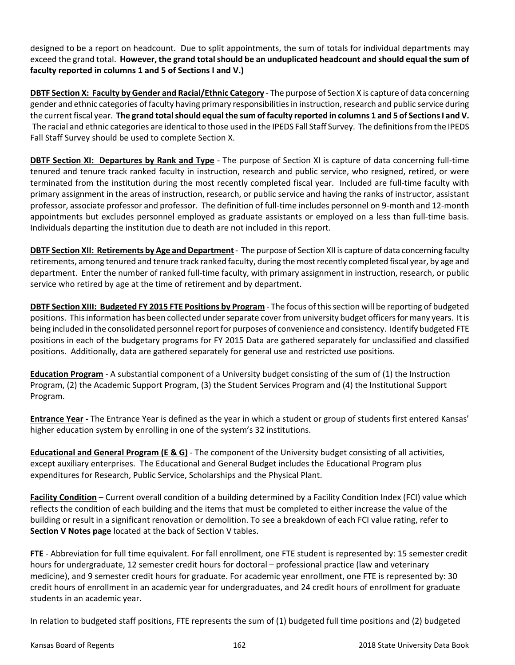designed to be a report on headcount. Due to split appointments, the sum of totals for individual departments may exceed the grand total. **However, the grand total should be an unduplicated headcount and should equal the sum of faculty reported in columns 1 and 5 of Sections I and V.)** 

**DBTF Section X: Faculty by Gender and Racial/Ethnic Category** ‐ The purpose of Section X is capture of data concerning gender and ethnic categories of faculty having primary responsibilities in instruction, research and public service during the current fiscal year. **The grand total should equal the sum of faculty reported in columns 1 and 5 of Sections I and V.**  The racial and ethnic categories are identical to those used in the IPEDS Fall Staff Survey. The definitions from the IPEDS Fall Staff Survey should be used to complete Section X.

**DBTF Section XI: Departures by Rank and Type** - The purpose of Section XI is capture of data concerning full-time tenured and tenure track ranked faculty in instruction, research and public service, who resigned, retired, or were terminated from the institution during the most recently completed fiscal year. Included are full‐time faculty with primary assignment in the areas of instruction, research, or public service and having the ranks of instructor, assistant professor, associate professor and professor. The definition of full‐time includes personnel on 9‐month and 12‐month appointments but excludes personnel employed as graduate assistants or employed on a less than full-time basis. Individuals departing the institution due to death are not included in this report.

**DBTF Section XII: Retirements by Age and Department** ‐ The purpose of Section XII is capture of data concerning faculty retirements, among tenured and tenure track ranked faculty, during the most recently completed fiscal year, by age and department. Enter the number of ranked full-time faculty, with primary assignment in instruction, research, or public service who retired by age at the time of retirement and by department.

**DBTF Section XIII: Budgeted FY 2015 FTE Positions by Program** ‐ The focus of this section will be reporting of budgeted positions. This information has been collected under separate cover from university budget officers for many years. It is being included in the consolidated personnel report for purposes of convenience and consistency. Identify budgeted FTE positions in each of the budgetary programs for FY 2015 Data are gathered separately for unclassified and classified positions. Additionally, data are gathered separately for general use and restricted use positions.

**Education Program** - A substantial component of a University budget consisting of the sum of (1) the Instruction Program, (2) the Academic Support Program, (3) the Student Services Program and (4) the Institutional Support Program.

**Entrance Year ‐** The Entrance Year is defined as the year in which a student or group of students first entered Kansas' higher education system by enrolling in one of the system's 32 institutions.

**Educational and General Program (E & G)** ‐ The component of the University budget consisting of all activities, except auxiliary enterprises. The Educational and General Budget includes the Educational Program plus expenditures for Research, Public Service, Scholarships and the Physical Plant.

**Facility Condition** – Current overall condition of a building determined by a Facility Condition Index (FCI) value which reflects the condition of each building and the items that must be completed to either increase the value of the building or result in a significant renovation or demolition. To see a breakdown of each FCI value rating, refer to **Section V Notes page** located at the back of Section V tables.

**FTE** - Abbreviation for full time equivalent. For fall enrollment, one FTE student is represented by: 15 semester credit hours for undergraduate, 12 semester credit hours for doctoral – professional practice (law and veterinary medicine), and 9 semester credit hours for graduate. For academic year enrollment, one FTE is represented by: 30 credit hours of enrollment in an academic year for undergraduates, and 24 credit hours of enrollment for graduate students in an academic year.

In relation to budgeted staff positions, FTE represents the sum of (1) budgeted full time positions and (2) budgeted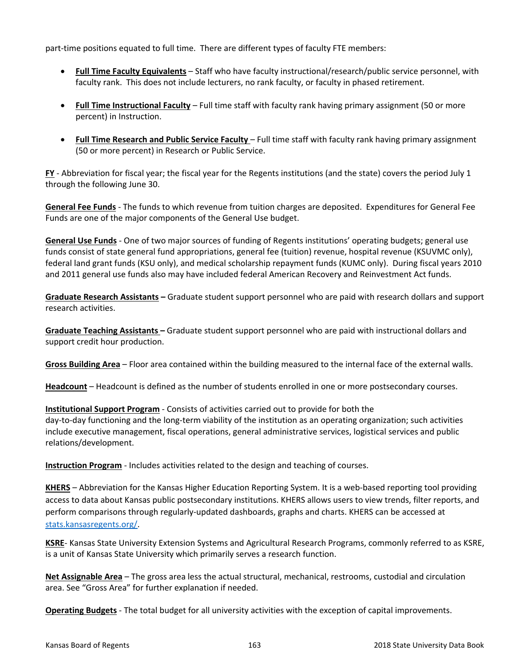part‐time positions equated to full time. There are different types of faculty FTE members:

- **Full Time Faculty Equivalents** Staff who have faculty instructional/research/public service personnel, with faculty rank. This does not include lecturers, no rank faculty, or faculty in phased retirement.
- **Full Time Instructional Faculty** Full time staff with faculty rank having primary assignment (50 or more percent) in Instruction.
- **Full Time Research and Public Service Faculty** Full time staff with faculty rank having primary assignment (50 or more percent) in Research or Public Service.

FY - Abbreviation for fiscal year; the fiscal year for the Regents institutions (and the state) covers the period July 1 through the following June 30.

**General Fee Funds** ‐ The funds to which revenue from tuition charges are deposited. Expenditures for General Fee Funds are one of the major components of the General Use budget.

**General Use Funds** ‐ One of two major sources of funding of Regents institutions' operating budgets; general use funds consist of state general fund appropriations, general fee (tuition) revenue, hospital revenue (KSUVMC only), federal land grant funds (KSU only), and medical scholarship repayment funds (KUMC only). During fiscal years 2010 and 2011 general use funds also may have included federal American Recovery and Reinvestment Act funds.

**Graduate Research Assistants –** Graduate student support personnel who are paid with research dollars and support research activities.

**Graduate Teaching Assistants –** Graduate student support personnel who are paid with instructional dollars and support credit hour production.

**Gross Building Area** – Floor area contained within the building measured to the internal face of the external walls.

**Headcount** – Headcount is defined as the number of students enrolled in one or more postsecondary courses.

**Institutional Support Program** ‐ Consists of activities carried out to provide for both the day-to-day functioning and the long-term viability of the institution as an operating organization; such activities include executive management, fiscal operations, general administrative services, logistical services and public relations/development.

**Instruction Program** - Includes activities related to the design and teaching of courses.

**KHERS** – Abbreviation for the Kansas Higher Education Reporting System. It is a web‐based reporting tool providing access to data about Kansas public postsecondary institutions. KHERS allows users to view trends, filter reports, and perform comparisons through regularly-updated dashboards, graphs and charts. KHERS can be accessed at stats.kansasregents.org/.

**KSRE**‐ Kansas State University Extension Systems and Agricultural Research Programs, commonly referred to as KSRE, is a unit of Kansas State University which primarily serves a research function.

**Net Assignable Area** – The gross area less the actual structural, mechanical, restrooms, custodial and circulation area. See "Gross Area" for further explanation if needed.

**Operating Budgets** ‐ The total budget for all university activities with the exception of capital improvements.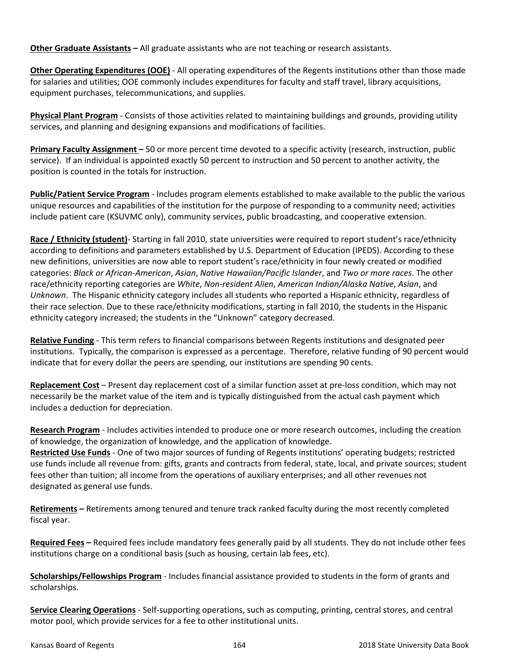**Other Graduate Assistants –** All graduate assistants who are not teaching or research assistants.

**Other Operating Expenditures (OOE)** ‐ All operating expenditures of the Regents institutions other than those made for salaries and utilities; OOE commonly includes expenditures for faculty and staff travel, library acquisitions, equipment purchases, telecommunications, and supplies.

**Physical Plant Program** ‐ Consists of those activities related to maintaining buildings and grounds, providing utility services, and planning and designing expansions and modifications of facilities.

**Primary Faculty Assignment –** 50 or more percent time devoted to a specific activity (research, instruction, public service). If an individual is appointed exactly 50 percent to instruction and 50 percent to another activity, the position is counted in the totals for instruction.

**Public/Patient Service Program** ‐ Includes program elements established to make available to the public the various unique resources and capabilities of the institution for the purpose of responding to a community need; activities include patient care (KSUVMC only), community services, public broadcasting, and cooperative extension.

**Race / Ethnicity (student)**‐ Starting in fall 2010, state universities were required to report student's race/ethnicity according to definitions and parameters established by U.S. Department of Education (IPEDS). According to these new definitions, universities are now able to report student's race/ethnicity in four newly created or modified categories: *Black or African‐American*, *Asian*, *Native Hawaiian/Pacific Islander*, and *Two or more races*. The other race/ethnicity reporting categories are *White*, *Non‐resident Alien*, *American Indian/Alaska Native*, *Asian*, and *Unknown*. The Hispanic ethnicity category includes all students who reported a Hispanic ethnicity, regardless of their race selection. Due to these race/ethnicity modifications, starting in fall 2010, the students in the Hispanic ethnicity category increased; the students in the "Unknown" category decreased.

**Relative Funding** ‐ This term refers to financial comparisons between Regents institutions and designated peer institutions. Typically, the comparison is expressed as a percentage. Therefore, relative funding of 90 percent would indicate that for every dollar the peers are spending, our institutions are spending 90 cents.

**Replacement Cost** – Present day replacement cost of a similar function asset at pre‐loss condition, which may not necessarily be the market value of the item and is typically distinguished from the actual cash payment which includes a deduction for depreciation.

**Research Program** ‐ Includes activities intended to produce one or more research outcomes, including the creation of knowledge, the organization of knowledge, and the application of knowledge. **Restricted Use Funds** ‐ One of two major sources of funding of Regents institutions' operating budgets; restricted use funds include all revenue from: gifts, grants and contracts from federal, state, local, and private sources; student

fees other than tuition; all income from the operations of auxiliary enterprises; and all other revenues not designated as general use funds.

**Retirements –** Retirements among tenured and tenure track ranked faculty during the most recently completed fiscal year.

**Required Fees –** Required fees include mandatory fees generally paid by all students. They do not include other fees institutions charge on a conditional basis (such as housing, certain lab fees, etc).

**Scholarships/Fellowships Program** ‐ Includes financial assistance provided to students in the form of grants and scholarships.

**Service Clearing Operations** ‐ Self‐supporting operations, such as computing, printing, central stores, and central motor pool, which provide services for a fee to other institutional units.